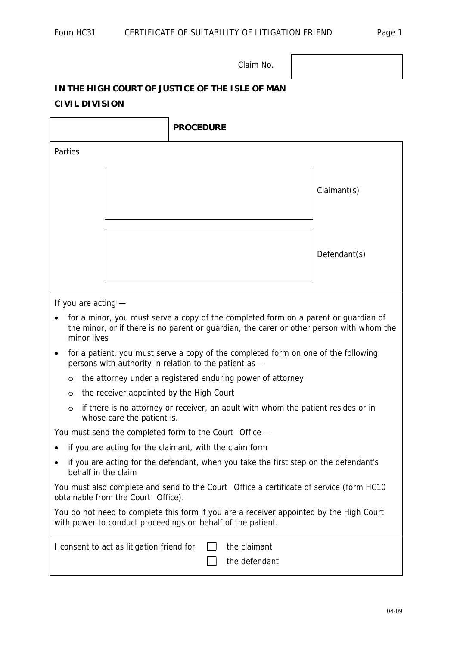Claim No.

## **IN THE HIGH COURT OF JUSTICE OF THE ISLE OF MAN CIVIL DIVISION**

٦

 $\overline{\phantom{a}}$ 

| <b>PROCEDURE</b>                                                                                                                                                                               |              |  |
|------------------------------------------------------------------------------------------------------------------------------------------------------------------------------------------------|--------------|--|
| Parties                                                                                                                                                                                        |              |  |
|                                                                                                                                                                                                | Claimant(s)  |  |
|                                                                                                                                                                                                | Defendant(s) |  |
| If you are acting -                                                                                                                                                                            |              |  |
| for a minor, you must serve a copy of the completed form on a parent or guardian of<br>the minor, or if there is no parent or guardian, the carer or other person with whom the<br>minor lives |              |  |
| for a patient, you must serve a copy of the completed form on one of the following<br>persons with authority in relation to the patient as -                                                   |              |  |
| the attorney under a registered enduring power of attorney<br>$\circ$                                                                                                                          |              |  |
| the receiver appointed by the High Court<br>$\circ$                                                                                                                                            |              |  |
| if there is no attorney or receiver, an adult with whom the patient resides or in<br>$\circ$<br>whose care the patient is.                                                                     |              |  |
| You must send the completed form to the Court Office —                                                                                                                                         |              |  |
| if you are acting for the claimant, with the claim form                                                                                                                                        |              |  |
| if you are acting for the defendant, when you take the first step on the defendant's<br>behalf in the claim                                                                                    |              |  |
| You must also complete and send to the Court Office a certificate of service (form HC10<br>obtainable from the Court Office).                                                                  |              |  |
| You do not need to complete this form if you are a receiver appointed by the High Court<br>with power to conduct proceedings on behalf of the patient.                                         |              |  |
| the claimant<br>I consent to act as litigation friend for<br>the defendant                                                                                                                     |              |  |